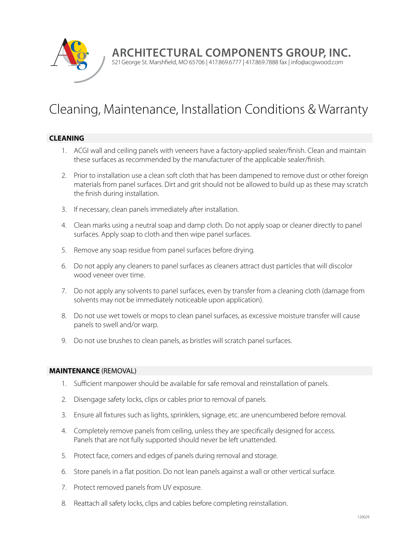

**Architectural Components Group, Inc.**

521 George St. Marshfield, MO 65706 | 417.869.6777 | 417.869.7888 fax | info@acgiwood.com

# Cleaning, Maintenance, Installation Conditions & Warranty

## **CLEANING**

- 1. ACGI wall and ceiling panels with veneers have a factory-applied sealer/finish. Clean and maintain these surfaces as recommended by the manufacturer of the applicable sealer/finish.
- 2. Prior to installation use a clean soft cloth that has been dampened to remove dust or other foreign materials from panel surfaces. Dirt and grit should not be allowed to build up as these may scratch the finish during installation.
- 3. If necessary, clean panels immediately after installation.
- 4. Clean marks using a neutral soap and damp cloth. Do not apply soap or cleaner directly to panel surfaces. Apply soap to cloth and then wipe panel surfaces.
- 5. Remove any soap residue from panel surfaces before drying.
- 6. Do not apply any cleaners to panel surfaces as cleaners attract dust particles that will discolor wood veneer over time.
- 7. Do not apply any solvents to panel surfaces, even by transfer from a cleaning cloth (damage from solvents may not be immediately noticeable upon application).
- 8. Do not use wet towels or mops to clean panel surfaces, as excessive moisture transfer will cause panels to swell and/or warp.
- 9. Do not use brushes to clean panels, as bristles will scratch panel surfaces.

#### **MAINTENANCE** (REMOVAL)

- 1. Sufficient manpower should be available for safe removal and reinstallation of panels.
- 2. Disengage safety locks, clips or cables prior to removal of panels.
- 3. Ensure all fixtures such as lights, sprinklers, signage, etc. are unencumbered before removal.
- 4. Completely remove panels from ceiling, unless they are specifically designed for access. Panels that are not fully supported should never be left unattended.
- 5. Protect face, corners and edges of panels during removal and storage.
- 6. Store panels in a flat position. Do not lean panels against a wall or other vertical surface.
- 7. Protect removed panels from UV exposure.
- 8. Reattach all safety locks, clips and cables before completing reinstallation.